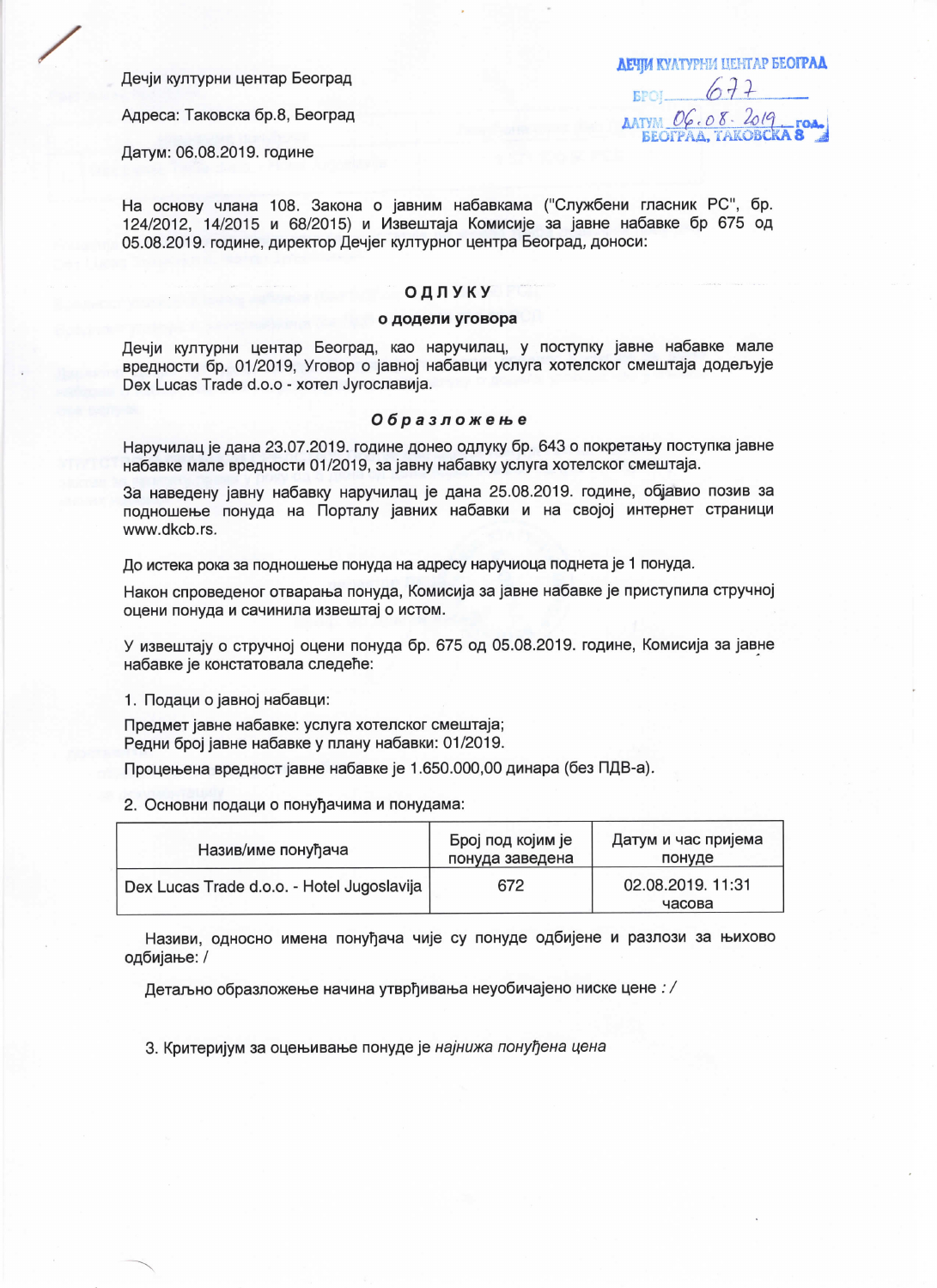Дечји културни центар Београд

Адреса: Таковска бр.8, Београд

Датум: 06.08.2019. године

**ЛЕЧЈИ К**УЛТУРНИ ЦЕНТАР БЕОГРАД  $677$ EPOI. **AATYIN**  $OG.OS.2019$ **BEOTPAA, TAKOBCKA** 

На основу члана 108. Закона о јавним набавкама ("Службени гласник РС", бр. 124/2012, 14/2015 и 68/2015) и Извештаја Комисије за јавне набавке бр 675 од 05.08.2019. године, директор Дечјег културног центра Београд, доноси:

## ОДЛУКУ

## о додели уговора

Дечіи културни центар Београд, као наручилац, у поступку јавне набавке мале вредности бр. 01/2019, Уговор о јавној набавци услуга хотелског смештаја додељује Dex Lucas Trade d.o.o - хотел Југославија.

## Образложење

Наручилац је дана 23.07.2019. године донео одлуку бр. 643 о покретању поступка јавне набавке мале вредности 01/2019, за јавну набавку услуга хотелског смештаја.

За наведену јавну набавку наручилац је дана 25.08.2019. године, објавио позив за подношење понуда на Порталу јавних набавки и на својој интернет страници www.dkcb.rs.

До истека рока за подношење понуда на адресу наручиоца поднета је 1 понуда.

Након спроведеног отварања понуда, Комисија за јавне набавке је приступила стручној оцени понуда и сачинила извештај о истом.

У извештају о стручној оцени понуда бр. 675 од 05.08.2019. године, Комисија за јавне набавке је констатовала следеће:

1. Подаци о јавној набавци:

Предмет јавне набавке: услуга хотелског смештаја; Редни број јавне набавке у плану набавки: 01/2019.

Процењена вредност јавне набавке је 1.650.000,00 динара (без ПДВ-а).

2. Основни подаци о понуђачима и понудама:

| Назив/име понуђача                         | Број под којим је<br>понуда заведена | Датум и час пријема<br>понуде |
|--------------------------------------------|--------------------------------------|-------------------------------|
| Dex Lucas Trade d.o.o. - Hotel Jugoslavija | 672                                  | 02.08.2019. 11:31<br>часова   |

Називи, односно имена понуђача чије су понуде одбијене и разлози за њихово одбијање: /

Детаљно образложење начина утврђивања неуобичајено ниске цене : /

3. Критеријум за оцењивање понуде је најнижа понуђена цена